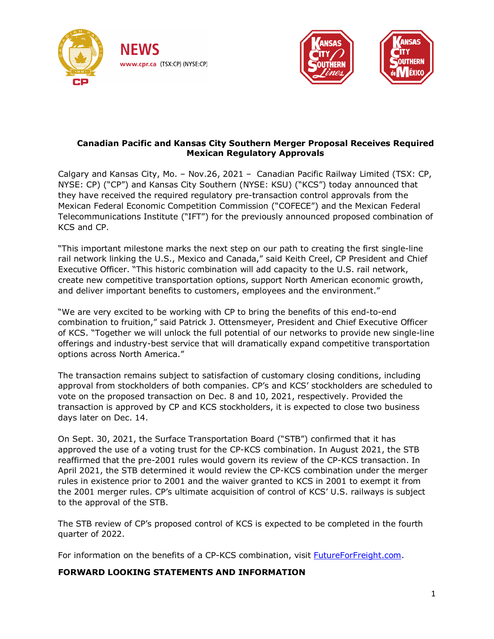



### **Canadian Pacific and Kansas City Southern Merger Proposal Receives Required Mexican Regulatory Approvals**

Calgary and Kansas City, Mo. – Nov.26, 2021 – Canadian Pacific Railway Limited (TSX: CP, NYSE: CP) ("CP") and Kansas City Southern (NYSE: KSU) ("KCS") today announced that they have received the required regulatory pre-transaction control approvals from the Mexican Federal Economic Competition Commission ("COFECE") and the Mexican Federal Telecommunications Institute ("IFT") for the previously announced proposed combination of KCS and CP.

"This important milestone marks the next step on our path to creating the first single-line rail network linking the U.S., Mexico and Canada," said Keith Creel, CP President and Chief Executive Officer. "This historic combination will add capacity to the U.S. rail network, create new competitive transportation options, support North American economic growth, and deliver important benefits to customers, employees and the environment."

"We are very excited to be working with CP to bring the benefits of this end-to-end combination to fruition," said Patrick J. Ottensmeyer, President and Chief Executive Officer of KCS. "Together we will unlock the full potential of our networks to provide new single-line offerings and industry-best service that will dramatically expand competitive transportation options across North America."

The transaction remains subject to satisfaction of customary closing conditions, including approval from stockholders of both companies. CP's and KCS' stockholders are scheduled to vote on the proposed transaction on Dec. 8 and 10, 2021, respectively. Provided the transaction is approved by CP and KCS stockholders, it is expected to close two business days later on Dec. 14.

On Sept. 30, 2021, the Surface Transportation Board ("STB") confirmed that it has approved the use of a voting trust for the CP-KCS combination. In August 2021, the STB reaffirmed that the pre-2001 rules would govern its review of the CP-KCS transaction. In April 2021, the STB determined it would review the CP-KCS combination under the merger rules in existence prior to 2001 and the waiver granted to KCS in 2001 to exempt it from the 2001 merger rules. CP's ultimate acquisition of control of KCS' U.S. railways is subject to the approval of the STB.

The STB review of CP's proposed control of KCS is expected to be completed in the fourth quarter of 2022.

For information on the benefits of a CP-KCS combination, visit **FutureForFreight.com**.

### **FORWARD LOOKING STATEMENTS AND INFORMATION**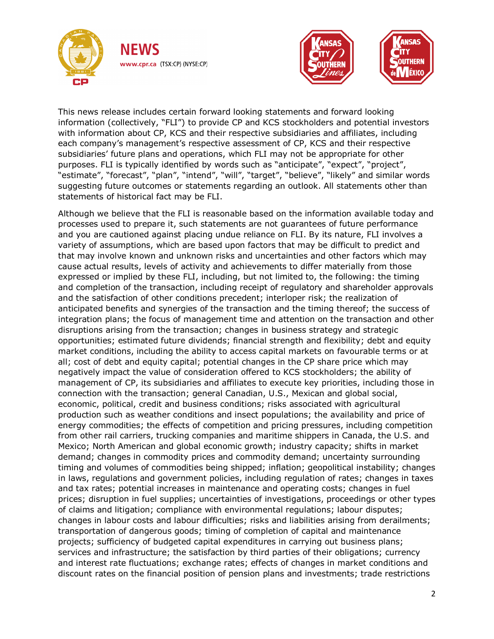



This news release includes certain forward looking statements and forward looking information (collectively, "FLI") to provide CP and KCS stockholders and potential investors with information about CP, KCS and their respective subsidiaries and affiliates, including each company's management's respective assessment of CP, KCS and their respective subsidiaries' future plans and operations, which FLI may not be appropriate for other purposes. FLI is typically identified by words such as "anticipate", "expect", "project", "estimate", "forecast", "plan", "intend", "will", "target", "believe", "likely" and similar words suggesting future outcomes or statements regarding an outlook. All statements other than statements of historical fact may be FLI.

Although we believe that the FLI is reasonable based on the information available today and processes used to prepare it, such statements are not guarantees of future performance and you are cautioned against placing undue reliance on FLI. By its nature, FLI involves a variety of assumptions, which are based upon factors that may be difficult to predict and that may involve known and unknown risks and uncertainties and other factors which may cause actual results, levels of activity and achievements to differ materially from those expressed or implied by these FLI, including, but not limited to, the following: the timing and completion of the transaction, including receipt of regulatory and shareholder approvals and the satisfaction of other conditions precedent; interloper risk; the realization of anticipated benefits and synergies of the transaction and the timing thereof; the success of integration plans; the focus of management time and attention on the transaction and other disruptions arising from the transaction; changes in business strategy and strategic opportunities; estimated future dividends; financial strength and flexibility; debt and equity market conditions, including the ability to access capital markets on favourable terms or at all; cost of debt and equity capital; potential changes in the CP share price which may negatively impact the value of consideration offered to KCS stockholders; the ability of management of CP, its subsidiaries and affiliates to execute key priorities, including those in connection with the transaction; general Canadian, U.S., Mexican and global social, economic, political, credit and business conditions; risks associated with agricultural production such as weather conditions and insect populations; the availability and price of energy commodities; the effects of competition and pricing pressures, including competition from other rail carriers, trucking companies and maritime shippers in Canada, the U.S. and Mexico; North American and global economic growth; industry capacity; shifts in market demand; changes in commodity prices and commodity demand; uncertainty surrounding timing and volumes of commodities being shipped; inflation; geopolitical instability; changes in laws, regulations and government policies, including regulation of rates; changes in taxes and tax rates; potential increases in maintenance and operating costs; changes in fuel prices; disruption in fuel supplies; uncertainties of investigations, proceedings or other types of claims and litigation; compliance with environmental regulations; labour disputes; changes in labour costs and labour difficulties; risks and liabilities arising from derailments; transportation of dangerous goods; timing of completion of capital and maintenance projects; sufficiency of budgeted capital expenditures in carrying out business plans; services and infrastructure; the satisfaction by third parties of their obligations; currency and interest rate fluctuations; exchange rates; effects of changes in market conditions and discount rates on the financial position of pension plans and investments; trade restrictions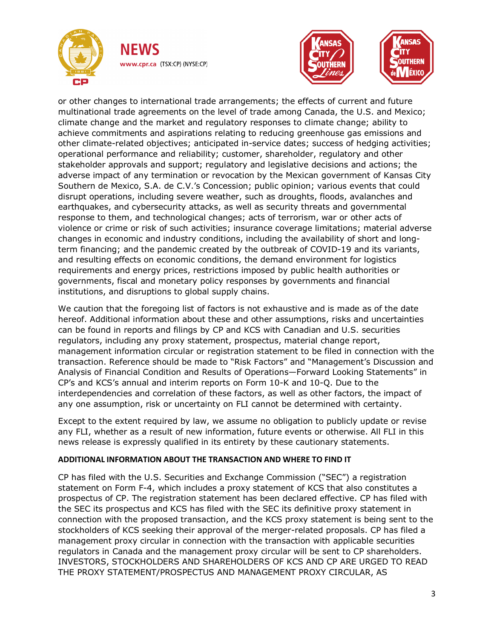







or other changes to international trade arrangements; the effects of current and future multinational trade agreements on the level of trade among Canada, the U.S. and Mexico; climate change and the market and regulatory responses to climate change; ability to achieve commitments and aspirations relating to reducing greenhouse gas emissions and other climate-related objectives; anticipated in-service dates; success of hedging activities; operational performance and reliability; customer, shareholder, regulatory and other stakeholder approvals and support; regulatory and legislative decisions and actions; the adverse impact of any termination or revocation by the Mexican government of Kansas City Southern de Mexico, S.A. de C.V.'s Concession; public opinion; various events that could disrupt operations, including severe weather, such as droughts, floods, avalanches and earthquakes, and cybersecurity attacks, as well as security threats and governmental response to them, and technological changes; acts of terrorism, war or other acts of violence or crime or risk of such activities; insurance coverage limitations; material adverse changes in economic and industry conditions, including the availability of short and longterm financing; and the pandemic created by the outbreak of COVID-19 and its variants, and resulting effects on economic conditions, the demand environment for logistics requirements and energy prices, restrictions imposed by public health authorities or governments, fiscal and monetary policy responses by governments and financial institutions, and disruptions to global supply chains.

We caution that the foregoing list of factors is not exhaustive and is made as of the date hereof. Additional information about these and other assumptions, risks and uncertainties can be found in reports and filings by CP and KCS with Canadian and U.S. securities regulators, including any proxy statement, prospectus, material change report, management information circular or registration statement to be filed in connection with the transaction. Reference should be made to "Risk Factors" and "Management's Discussion and Analysis of Financial Condition and Results of Operations—Forward Looking Statements" in CP's and KCS's annual and interim reports on Form 10-K and 10-Q. Due to the interdependencies and correlation of these factors, as well as other factors, the impact of any one assumption, risk or uncertainty on FLI cannot be determined with certainty.

Except to the extent required by law, we assume no obligation to publicly update or revise any FLI, whether as a result of new information, future events or otherwise. All FLI in this news release is expressly qualified in its entirety by these cautionary statements.

### **ADDITIONAL INFORMATION ABOUT THE TRANSACTION AND WHERE TO FIND IT**

CP has filed with the U.S. Securities and Exchange Commission ("SEC") a registration statement on Form F-4, which includes a proxy statement of KCS that also constitutes a prospectus of CP. The registration statement has been declared effective. CP has filed with the SEC its prospectus and KCS has filed with the SEC its definitive proxy statement in connection with the proposed transaction, and the KCS proxy statement is being sent to the stockholders of KCS seeking their approval of the merger-related proposals. CP has filed a management proxy circular in connection with the transaction with applicable securities regulators in Canada and the management proxy circular will be sent to CP shareholders. INVESTORS, STOCKHOLDERS AND SHAREHOLDERS OF KCS AND CP ARE URGED TO READ THE PROXY STATEMENT/PROSPECTUS AND MANAGEMENT PROXY CIRCULAR, AS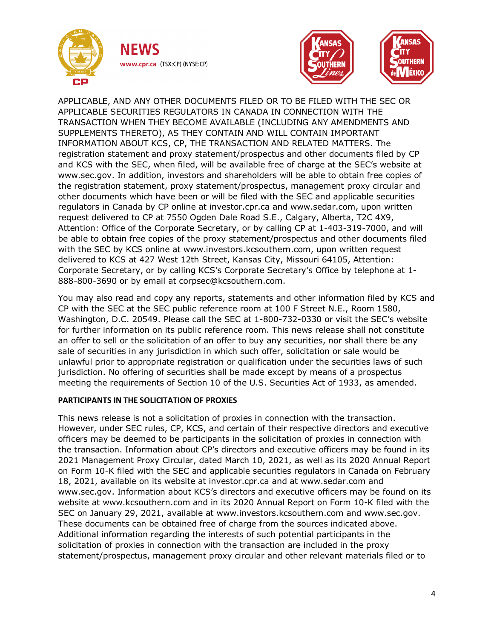





APPLICABLE, AND ANY OTHER DOCUMENTS FILED OR TO BE FILED WITH THE SEC OR APPLICABLE SECURITIES REGULATORS IN CANADA IN CONNECTION WITH THE TRANSACTION WHEN THEY BECOME AVAILABLE (INCLUDING ANY AMENDMENTS AND SUPPLEMENTS THERETO), AS THEY CONTAIN AND WILL CONTAIN IMPORTANT INFORMATION ABOUT KCS, CP, THE TRANSACTION AND RELATED MATTERS. The registration statement and proxy statement/prospectus and other documents filed by CP and KCS with the SEC, when filed, will be available free of charge at the SEC's website at www.sec.gov. In addition, investors and shareholders will be able to obtain free copies of the registration statement, proxy statement/prospectus, management proxy circular and other documents which have been or will be filed with the SEC and applicable securities regulators in Canada by CP online at investor.cpr.ca and www.sedar.com, upon written request delivered to CP at 7550 Ogden Dale Road S.E., Calgary, Alberta, T2C 4X9, Attention: Office of the Corporate Secretary, or by calling CP at 1-403-319-7000, and will be able to obtain free copies of the proxy statement/prospectus and other documents filed with the SEC by KCS online at www.investors.kcsouthern.com, upon written request delivered to KCS at 427 West 12th Street, Kansas City, Missouri 64105, Attention: Corporate Secretary, or by calling KCS's Corporate Secretary's Office by telephone at 1- 888-800-3690 or by email at corpsec@kcsouthern.com.

You may also read and copy any reports, statements and other information filed by KCS and CP with the SEC at the SEC public reference room at 100 F Street N.E., Room 1580, Washington, D.C. 20549. Please call the SEC at 1-800-732-0330 or visit the SEC's website for further information on its public reference room. This news release shall not constitute an offer to sell or the solicitation of an offer to buy any securities, nor shall there be any sale of securities in any jurisdiction in which such offer, solicitation or sale would be unlawful prior to appropriate registration or qualification under the securities laws of such jurisdiction. No offering of securities shall be made except by means of a prospectus meeting the requirements of Section 10 of the U.S. Securities Act of 1933, as amended.

### **PARTICIPANTS IN THE SOLICITATION OF PROXIES**

This news release is not a solicitation of proxies in connection with the transaction. However, under SEC rules, CP, KCS, and certain of their respective directors and executive officers may be deemed to be participants in the solicitation of proxies in connection with the transaction. Information about CP's directors and executive officers may be found in its 2021 Management Proxy Circular, dated March 10, 2021, as well as its 2020 Annual Report on Form 10-K filed with the SEC and applicable securities regulators in Canada on February 18, 2021, available on its website at investor.cpr.ca and at www.sedar.com and www.sec.gov. Information about KCS's directors and executive officers may be found on its website at www.kcsouthern.com and in its 2020 Annual Report on Form 10-K filed with the SEC on January 29, 2021, available at www.investors.kcsouthern.com and www.sec.gov. These documents can be obtained free of charge from the sources indicated above. Additional information regarding the interests of such potential participants in the solicitation of proxies in connection with the transaction are included in the proxy statement/prospectus, management proxy circular and other relevant materials filed or to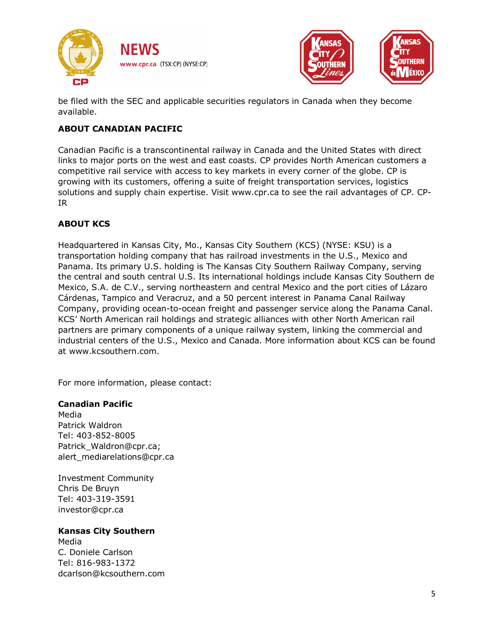



be filed with the SEC and applicable securities regulators in Canada when they become available.

## **ABOUT CANADIAN PACIFIC**

Canadian Pacific is a transcontinental railway in Canada and the United States with direct links to major ports on the west and east coasts. CP provides North American customers a competitive rail service with access to key markets in every corner of the globe. CP is growing with its customers, offering a suite of freight transportation services, logistics solutions and supply chain expertise. Visit www.cpr.ca to see the rail advantages of CP. CP-IR

# **ABOUT KCS**

Headquartered in Kansas City, Mo., Kansas City Southern (KCS) (NYSE: KSU) is a transportation holding company that has railroad investments in the U.S., Mexico and Panama. Its primary U.S. holding is The Kansas City Southern Railway Company, serving the central and south central U.S. Its international holdings include Kansas City Southern de Mexico, S.A. de C.V., serving northeastern and central Mexico and the port cities of Lázaro Cárdenas, Tampico and Veracruz, and a 50 percent interest in Panama Canal Railway Company, providing ocean-to-ocean freight and passenger service along the Panama Canal. KCS' North American rail holdings and strategic alliances with other North American rail partners are primary components of a unique railway system, linking the commercial and industrial centers of the U.S., Mexico and Canada. More information about KCS can be found at www.kcsouthern.com.

For more information, please contact:

## **Canadian Pacific**

Media Patrick Waldron Tel: 403-852-8005 Patrick\_Waldron@cpr.ca; alert\_mediarelations@cpr.ca

Investment Community Chris De Bruyn Tel: 403-319-3591 investor@cpr.ca

## **Kansas City Southern**

Media C. Doniele Carlson Tel: 816-983-1372 dcarlson@kcsouthern.com